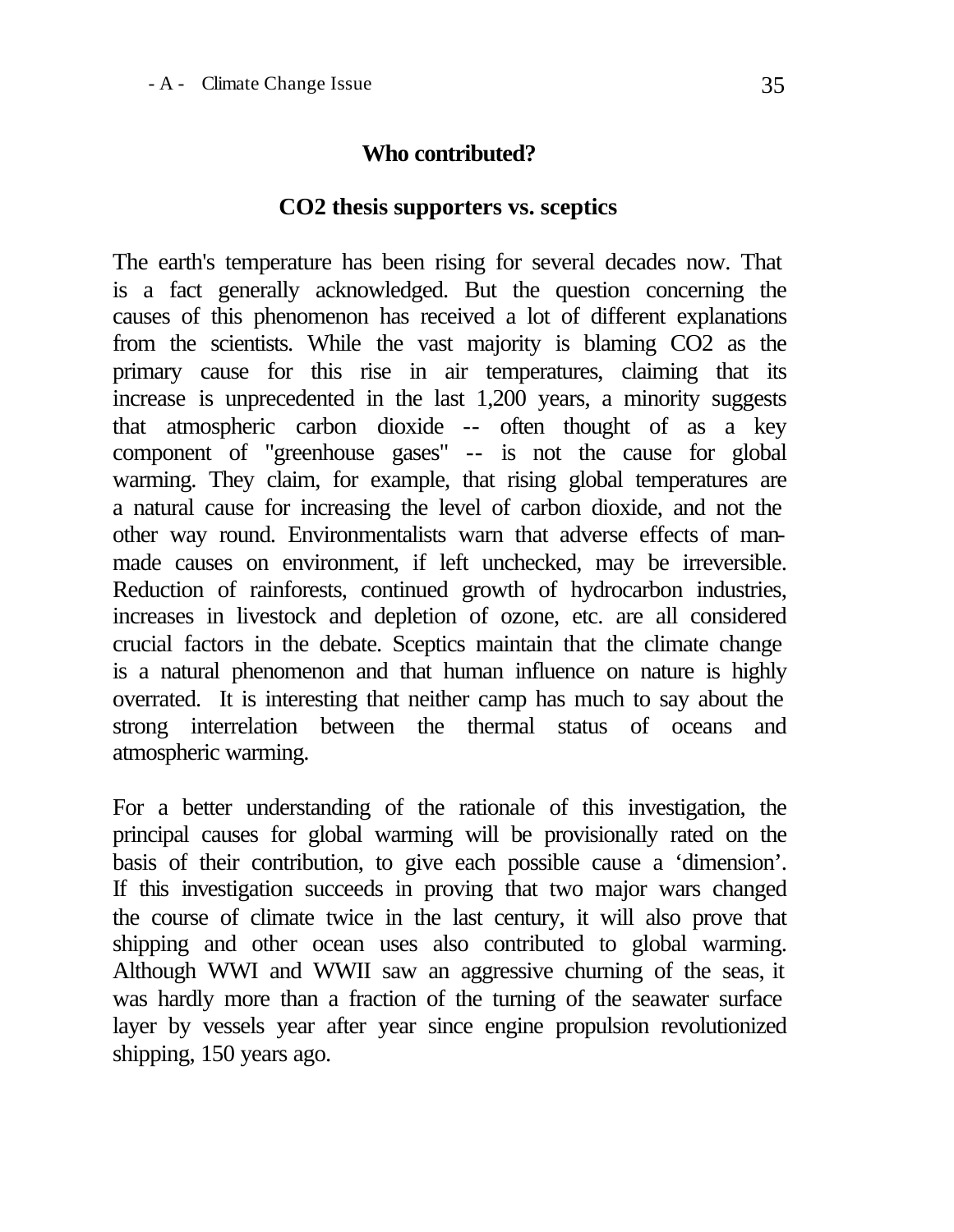## **Who contributed?**

### **CO2 thesis supporters vs. sceptics**

The earth's temperature has been rising for several decades now. That is a fact generally acknowledged. But the question concerning the causes of this phenomenon has received a lot of different explanations from the scientists. While the vast majority is blaming CO2 as the primary cause for this rise in air temperatures, claiming that its increase is unprecedented in the last 1,200 years, a minority suggests that atmospheric carbon dioxide -- often thought of as a key component of "greenhouse gases" -- is not the cause for global warming. They claim, for example, that rising global temperatures are a natural cause for increasing the level of carbon dioxide, and not the other way round. Environmentalists warn that adverse effects of manmade causes on environment, if left unchecked, may be irreversible. Reduction of rainforests, continued growth of hydrocarbon industries, increases in livestock and depletion of ozone, etc. are all considered crucial factors in the debate. Sceptics maintain that the climate change is a natural phenomenon and that human influence on nature is highly overrated. It is interesting that neither camp has much to say about the strong interrelation between the thermal status of oceans and atmospheric warming.

For a better understanding of the rationale of this investigation, the principal causes for global warming will be provisionally rated on the basis of their contribution, to give each possible cause a 'dimension'. If this investigation succeeds in proving that two major wars changed the course of climate twice in the last century, it will also prove that shipping and other ocean uses also contributed to global warming. Although WWI and WWII saw an aggressive churning of the seas, it was hardly more than a fraction of the turning of the seawater surface layer by vessels year after year since engine propulsion revolutionized shipping, 150 years ago.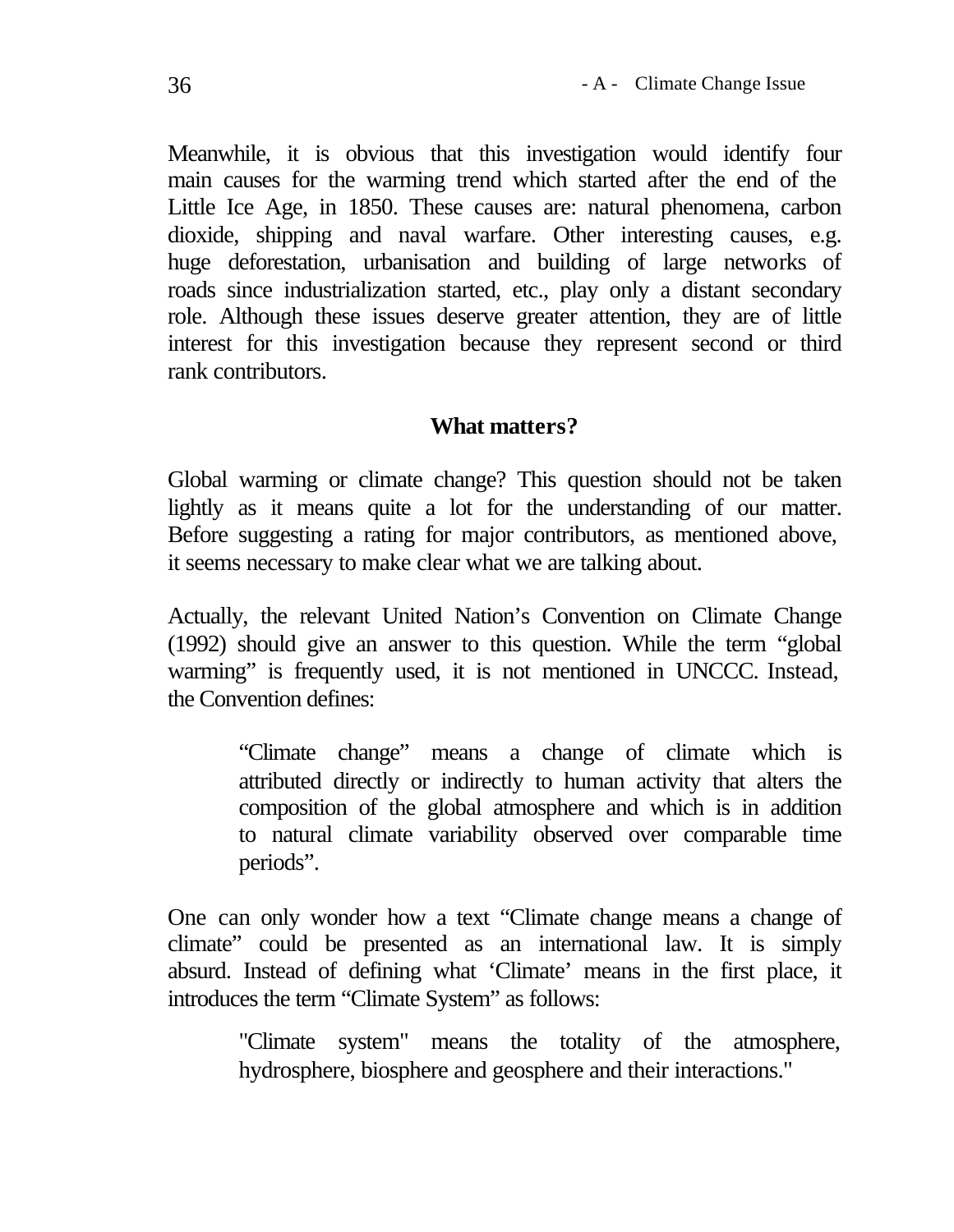Meanwhile, it is obvious that this investigation would identify four main causes for the warming trend which started after the end of the Little Ice Age, in 1850. These causes are: natural phenomena, carbon dioxide, shipping and naval warfare. Other interesting causes, e.g. huge deforestation, urbanisation and building of large networks of roads since industrialization started, etc., play only a distant secondary role. Although these issues deserve greater attention, they are of little interest for this investigation because they represent second or third rank contributors.

## **What matters?**

Global warming or climate change? This question should not be taken lightly as it means quite a lot for the understanding of our matter. Before suggesting a rating for major contributors, as mentioned above, it seems necessary to make clear what we are talking about.

Actually, the relevant United Nation's Convention on Climate Change (1992) should give an answer to this question. While the term "global warming" is frequently used, it is not mentioned in UNCCC. Instead, the Convention defines:

> "Climate change" means a change of climate which is attributed directly or indirectly to human activity that alters the composition of the global atmosphere and which is in addition to natural climate variability observed over comparable time periods".

One can only wonder how a text "Climate change means a change of climate" could be presented as an international law. It is simply absurd. Instead of defining what 'Climate' means in the first place, it introduces the term "Climate System" as follows:

> "Climate system" means the totality of the atmosphere, hydrosphere, biosphere and geosphere and their interactions."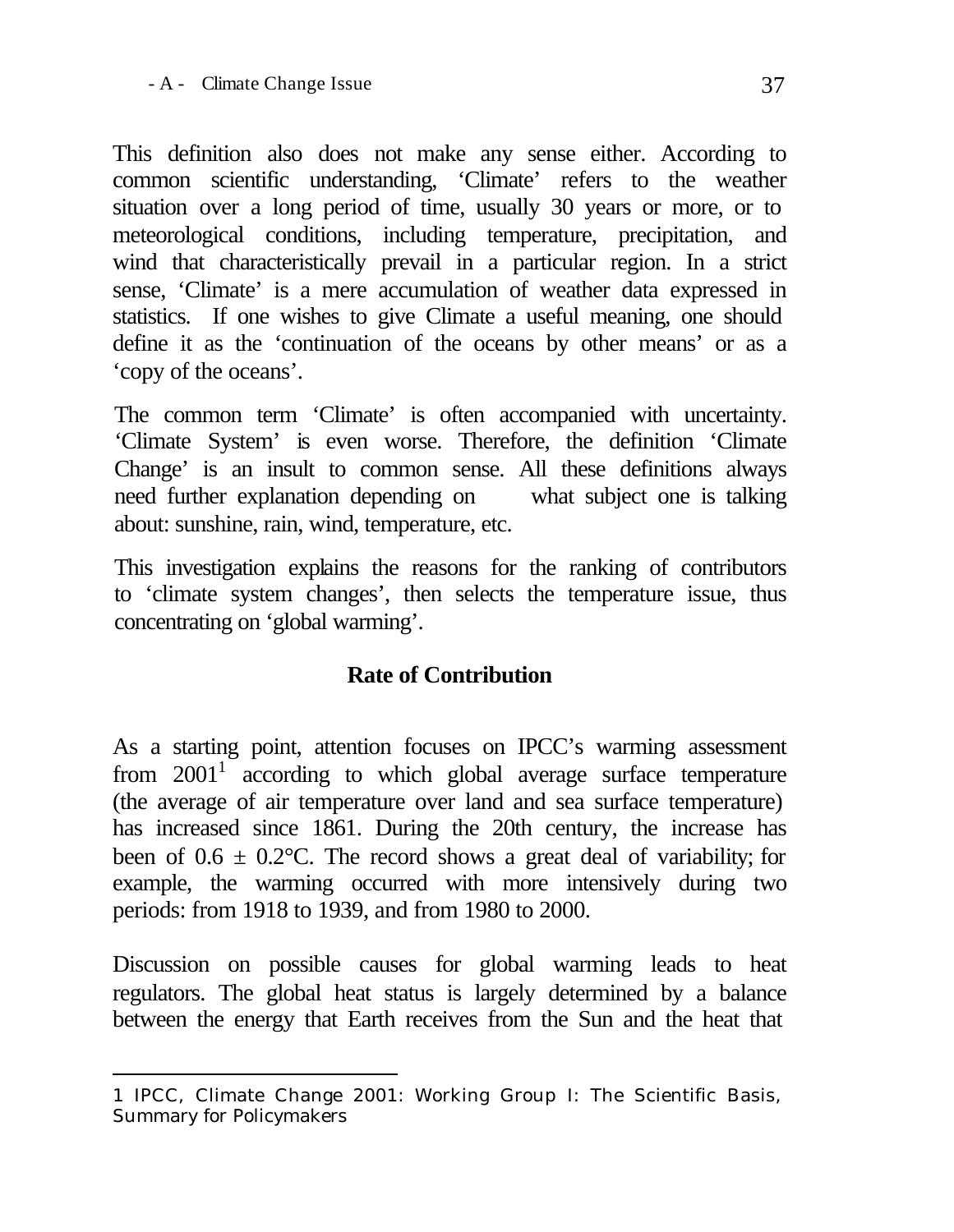This definition also does not make any sense either. According to common scientific understanding, 'Climate' refers to the weather situation over a long period of time, usually 30 years or more, or to meteorological conditions, including temperature, precipitation, and wind that characteristically prevail in a particular region. In a strict sense, 'Climate' is a mere accumulation of weather data expressed in statistics. If one wishes to give Climate a useful meaning, one should define it as the 'continuation of the oceans by other means' or as a 'copy of the oceans'.

The common term 'Climate' is often accompanied with uncertainty. 'Climate System' is even worse. Therefore, the definition 'Climate Change' is an insult to common sense. All these definitions always need further explanation depending on what subject one is talking about: sunshine, rain, wind, temperature, etc.

This investigation explains the reasons for the ranking of contributors to 'climate system changes', then selects the temperature issue, thus concentrating on 'global warming'.

# **Rate of Contribution**

As a starting point, attention focuses on IPCC's warming assessment from  $2001<sup>1</sup>$  according to which global average surface temperature (the average of air temperature over land and sea surface temperature) has increased since 1861. During the 20th century, the increase has been of  $0.6 \pm 0.2$ °C. The record shows a great deal of variability; for example, the warming occurred with more intensively during two periods: from 1918 to 1939, and from 1980 to 2000.

Discussion on possible causes for global warming leads to heat regulators. The global heat status is largely determined by a balance between the energy that Earth receives from the Sun and the heat that

l 1 IPCC, Climate Change 2001: Working Group I: The Scientific Basis, Summary for Policymakers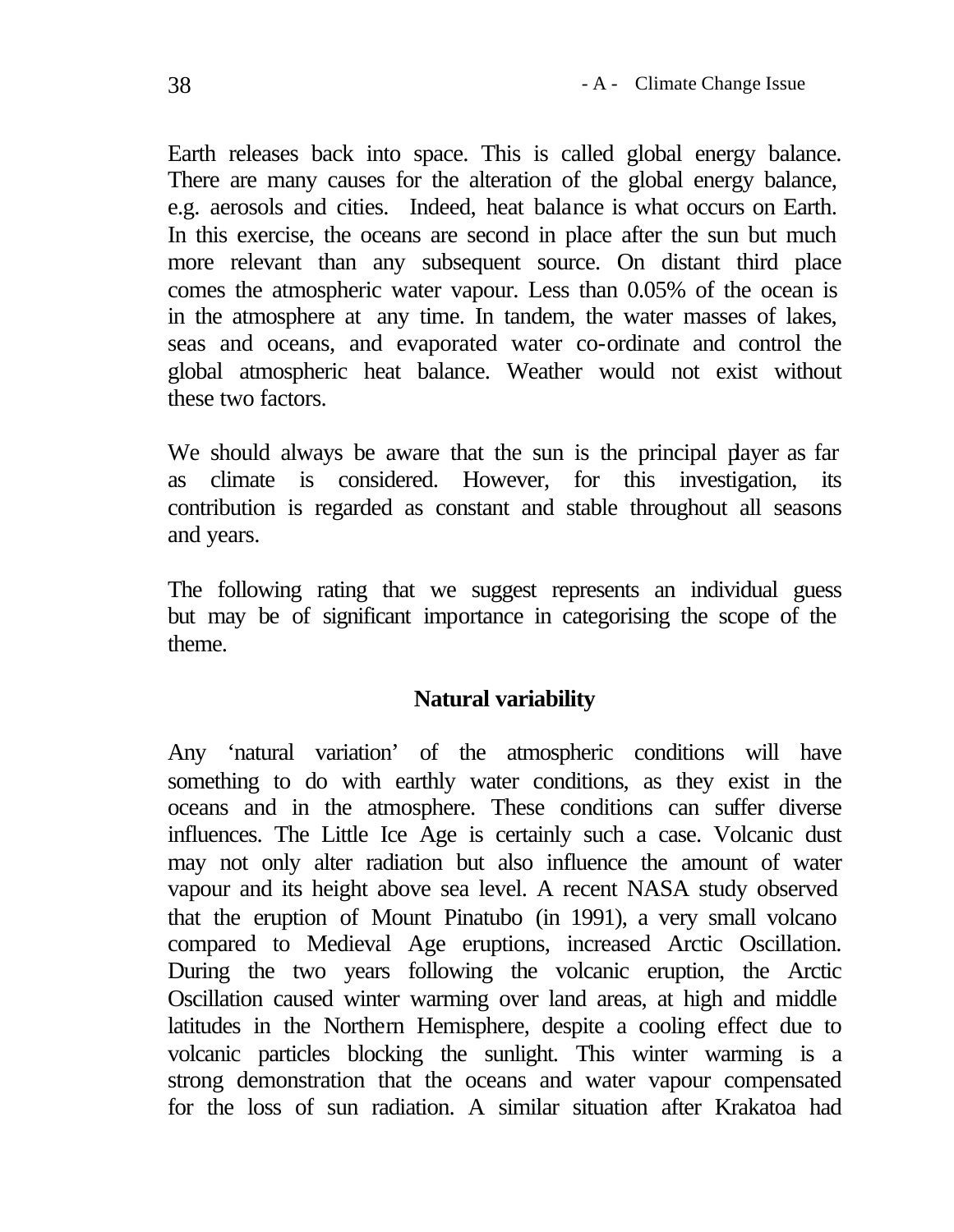Earth releases back into space. This is called global energy balance. There are many causes for the alteration of the global energy balance, e.g. aerosols and cities. Indeed, heat balance is what occurs on Earth. In this exercise, the oceans are second in place after the sun but much more relevant than any subsequent source. On distant third place comes the atmospheric water vapour. Less than 0.05% of the ocean is in the atmosphere at any time. In tandem, the water masses of lakes, seas and oceans, and evaporated water co-ordinate and control the global atmospheric heat balance. Weather would not exist without these two factors.

We should always be aware that the sun is the principal player as far as climate is considered. However, for this investigation, its contribution is regarded as constant and stable throughout all seasons and years.

The following rating that we suggest represents an individual guess but may be of significant importance in categorising the scope of the theme.

## **Natural variability**

Any 'natural variation' of the atmospheric conditions will have something to do with earthly water conditions, as they exist in the oceans and in the atmosphere. These conditions can suffer diverse influences. The Little Ice Age is certainly such a case. Volcanic dust may not only alter radiation but also influence the amount of water vapour and its height above sea level. A recent NASA study observed that the eruption of Mount Pinatubo (in 1991), a very small volcano compared to Medieval Age eruptions, increased Arctic Oscillation. During the two years following the volcanic eruption, the Arctic Oscillation caused winter warming over land areas, at high and middle latitudes in the Northern Hemisphere, despite a cooling effect due to volcanic particles blocking the sunlight. This winter warming is a strong demonstration that the oceans and water vapour compensated for the loss of sun radiation. A similar situation after Krakatoa had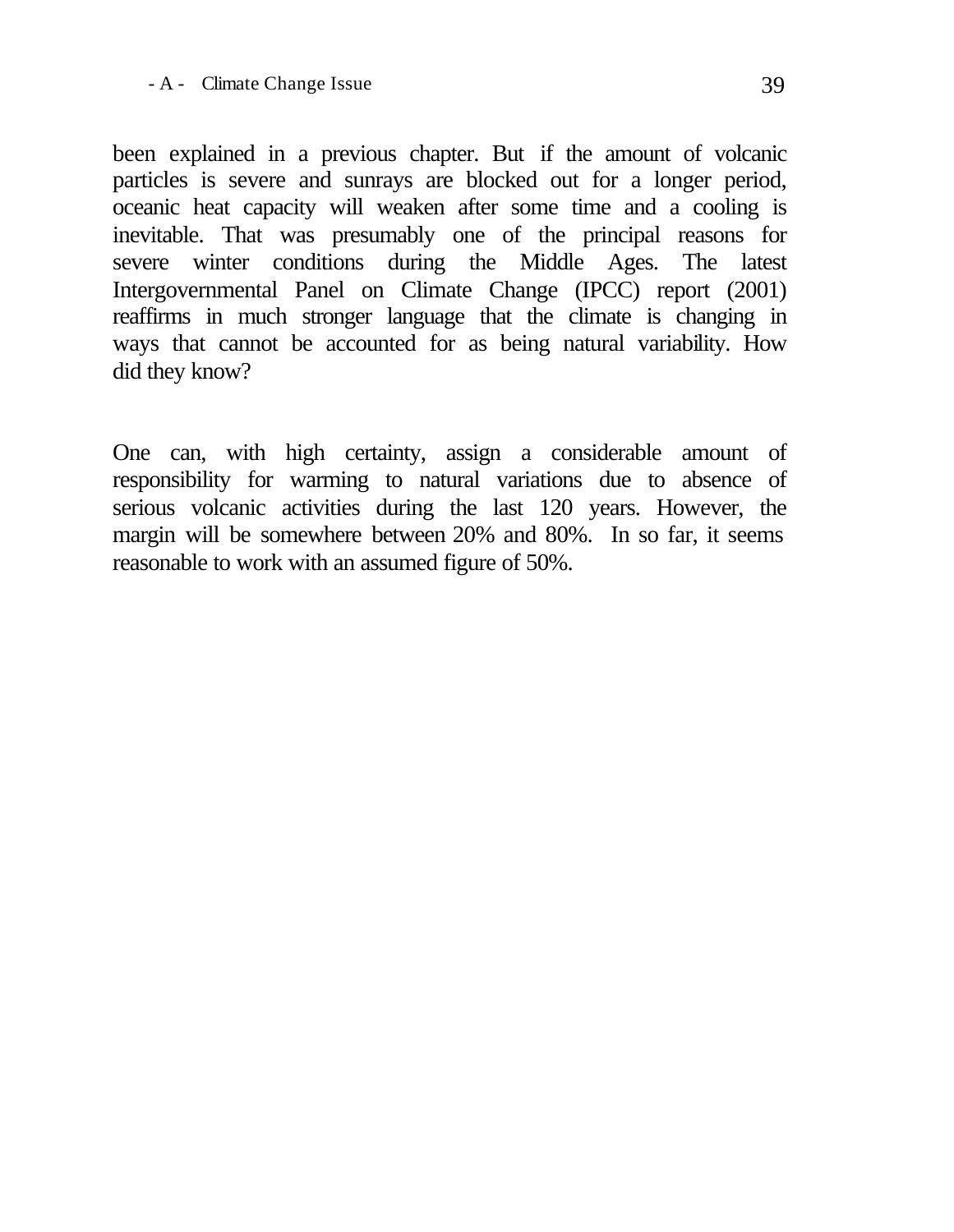been explained in a previous chapter. But if the amount of volcanic particles is severe and sunrays are blocked out for a longer period, oceanic heat capacity will weaken after some time and a cooling is inevitable. That was presumably one of the principal reasons for severe winter conditions during the Middle Ages. The latest Intergovernmental Panel on Climate Change (IPCC) report (2001) reaffirms in much stronger language that the climate is changing in ways that cannot be accounted for as being natural variability. How did they know?

One can, with high certainty, assign a considerable amount of responsibility for warming to natural variations due to absence of serious volcanic activities during the last 120 years. However, the margin will be somewhere between 20% and 80%. In so far, it seems reasonable to work with an assumed figure of 50%.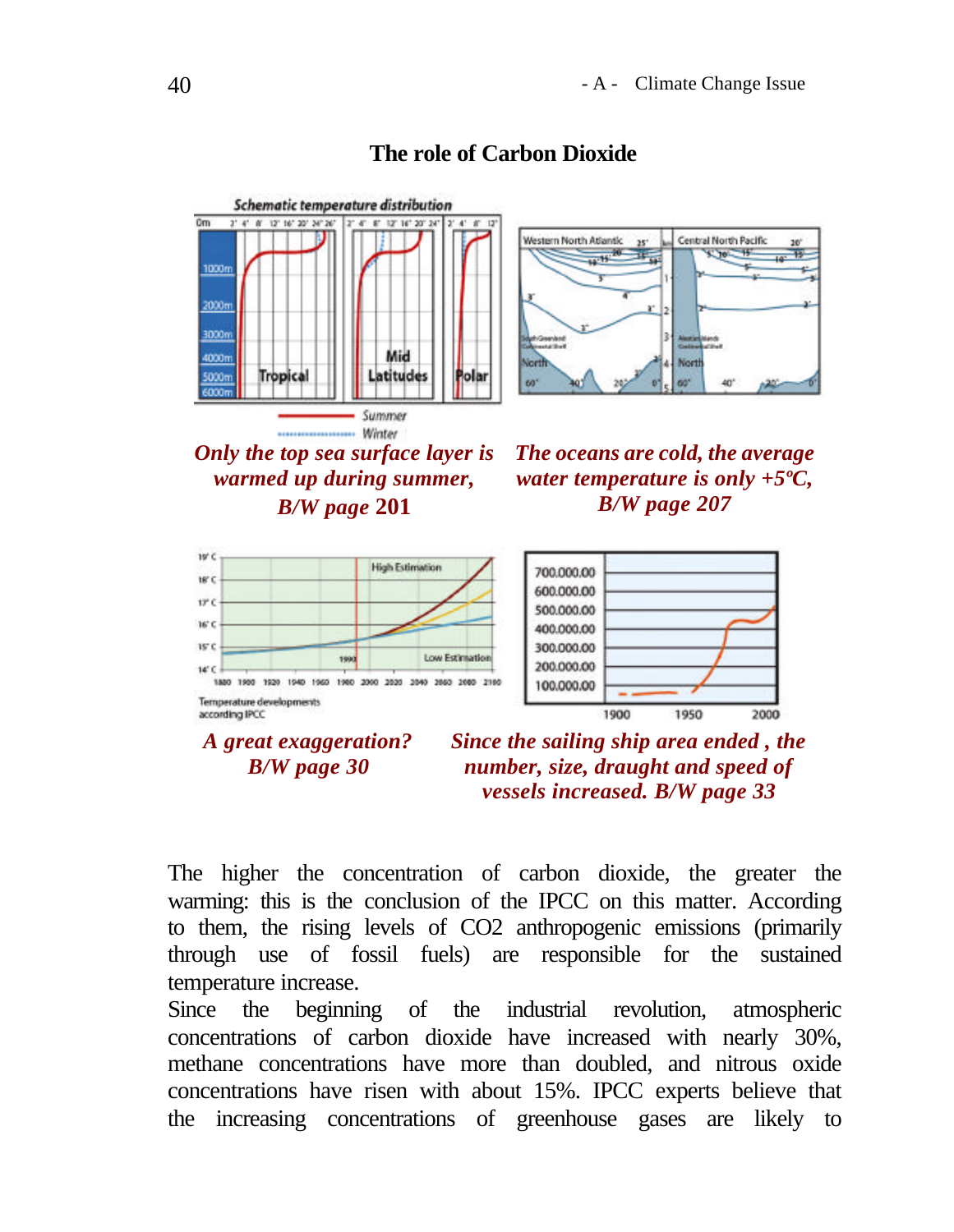

#### **The role of Carbon Dioxide**



Winter *Only the top sea surface layer is warmed up during summer, B/W page* **201**

*The oceans are cold, the average water temperature is only +5ºC, B/W page 207*



*A great exaggeration? B/W page 30*

*Since the sailing ship area ended , the number, size, draught and speed of vessels increased. B/W page 33*

The higher the concentration of carbon dioxide, the greater the warming: this is the conclusion of the IPCC on this matter. According to them, the rising levels of CO2 anthropogenic emissions (primarily through use of fossil fuels) are responsible for the sustained temperature increase.

Since the beginning of the industrial revolution, atmospheric concentrations of carbon dioxide have increased with nearly 30%, methane concentrations have more than doubled, and nitrous oxide concentrations have risen with about 15%. IPCC experts believe that the increasing concentrations of greenhouse gases are likely to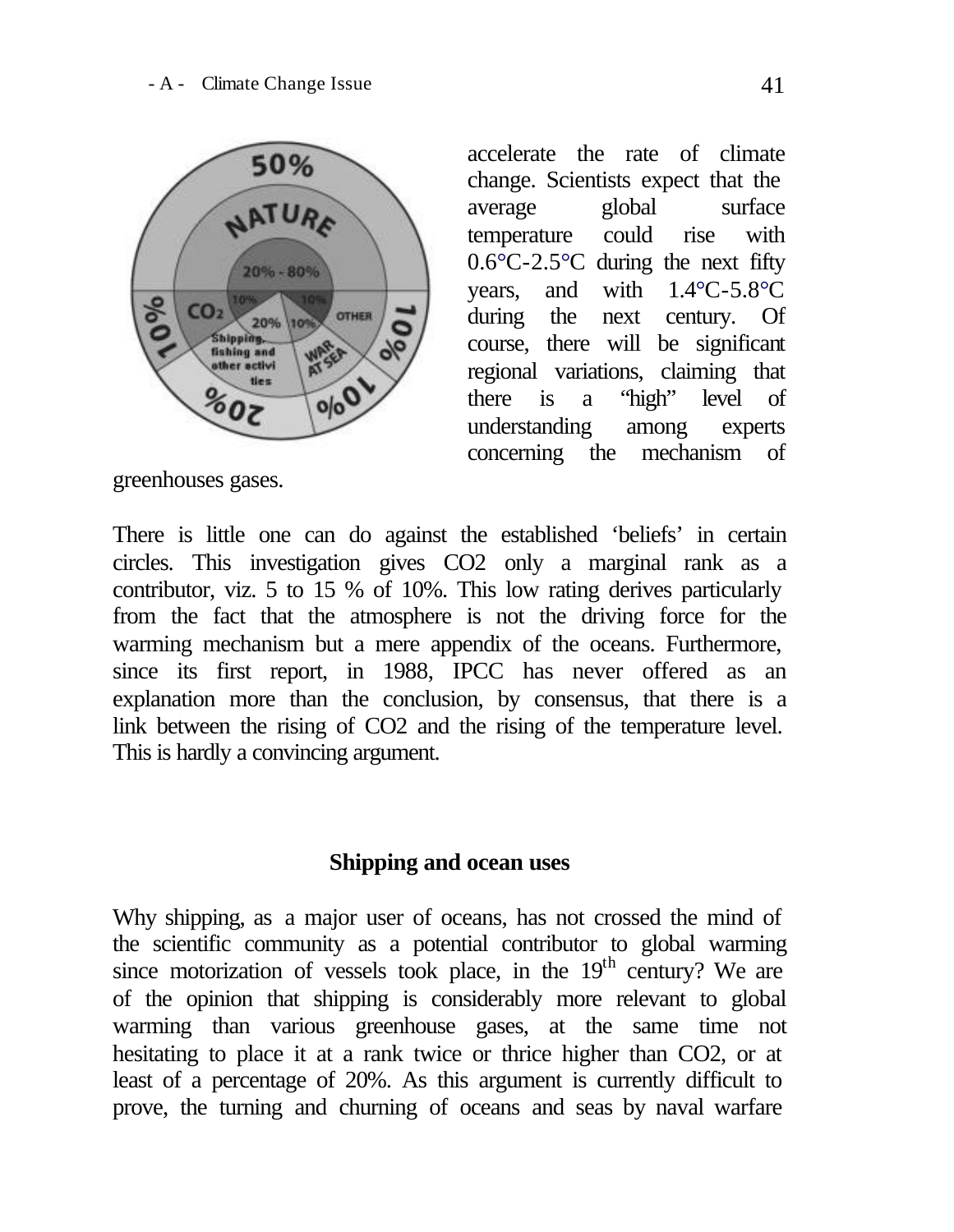

greenhouses gases.

accelerate the rate of climate change. Scientists expect that the average global surface temperature could rise with  $0.6^{\circ}$ C-2.5 $^{\circ}$ C during the next fifty years, and with 1.4°C-5.8°C during the next century. Of course, there will be significant regional variations, claiming that there is a "high" level of understanding among experts concerning the mechanism of

There is little one can do against the established 'beliefs' in certain circles. This investigation gives CO2 only a marginal rank as a contributor, viz. 5 to 15 % of 10%. This low rating derives particularly from the fact that the atmosphere is not the driving force for the warming mechanism but a mere appendix of the oceans. Furthermore, since its first report, in 1988, IPCC has never offered as an explanation more than the conclusion, by consensus, that there is a link between the rising of CO2 and the rising of the temperature level. This is hardly a convincing argument.

# **Shipping and ocean uses**

Why shipping, as a major user of oceans, has not crossed the mind of the scientific community as a potential contributor to global warming since motorization of vessels took place, in the 19<sup>th</sup> century? We are of the opinion that shipping is considerably more relevant to global warming than various greenhouse gases, at the same time not hesitating to place it at a rank twice or thrice higher than CO2, or at least of a percentage of 20%. As this argument is currently difficult to prove, the turning and churning of oceans and seas by naval warfare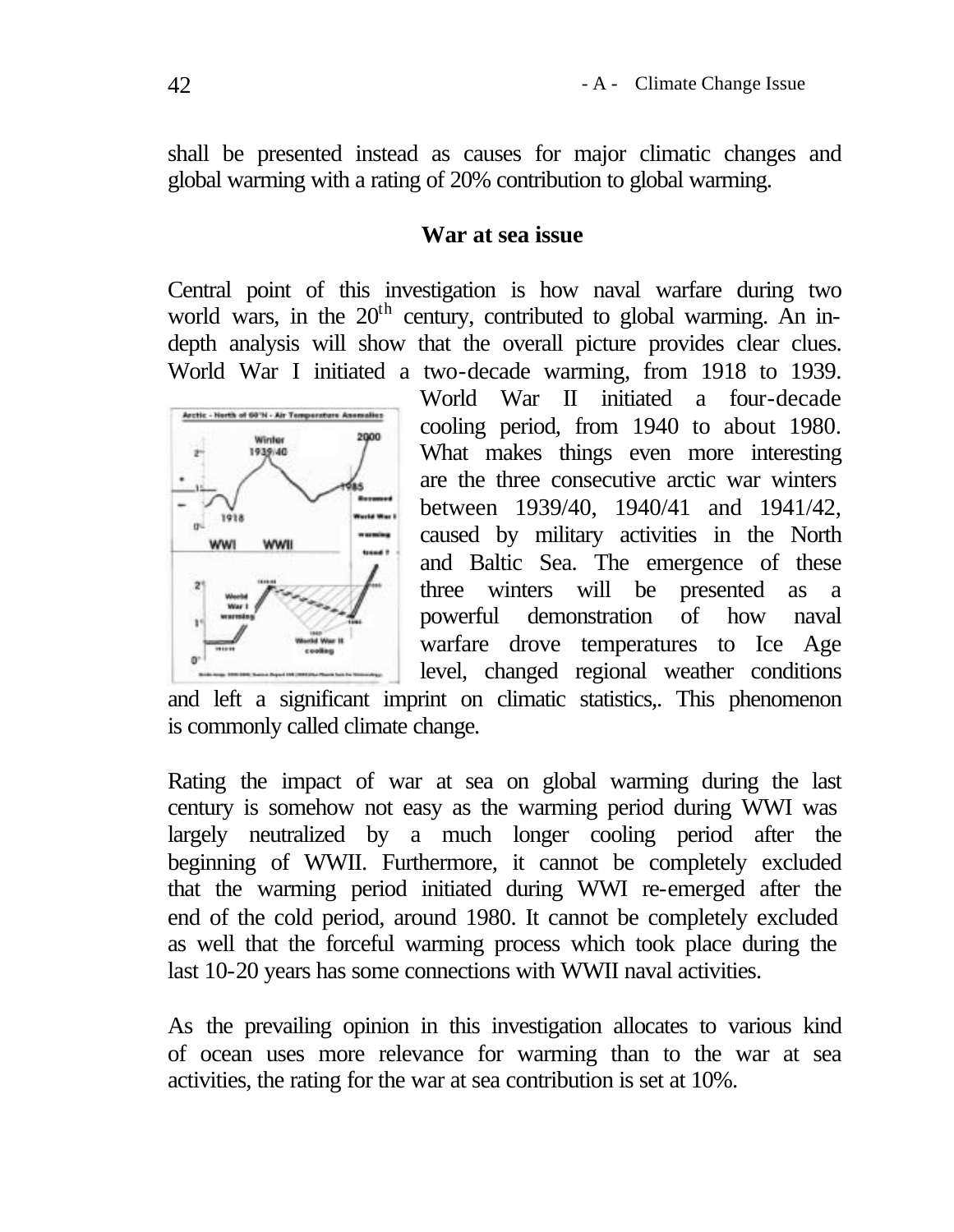shall be presented instead as causes for major climatic changes and global warming with a rating of 20% contribution to global warming.

#### **War at sea issue**

Central point of this investigation is how naval warfare during two world wars, in the  $20<sup>th</sup>$  century, contributed to global warming. An indepth analysis will show that the overall picture provides clear clues. World War I initiated a two-decade warming, from 1918 to 1939.



World War II initiated a four-decade cooling period, from 1940 to about 1980. What makes things even more interesting are the three consecutive arctic war winters between 1939/40, 1940/41 and 1941/42, caused by military activities in the North and Baltic Sea. The emergence of these three winters will be presented as a powerful demonstration of how naval warfare drove temperatures to Ice Age level, changed regional weather conditions

and left a significant imprint on climatic statistics,. This phenomenon is commonly called climate change.

Rating the impact of war at sea on global warming during the last century is somehow not easy as the warming period during WWI was largely neutralized by a much longer cooling period after the beginning of WWII. Furthermore, it cannot be completely excluded that the warming period initiated during WWI re-emerged after the end of the cold period, around 1980. It cannot be completely excluded as well that the forceful warming process which took place during the last 10-20 years has some connections with WWII naval activities.

As the prevailing opinion in this investigation allocates to various kind of ocean uses more relevance for warming than to the war at sea activities, the rating for the war at sea contribution is set at 10%.